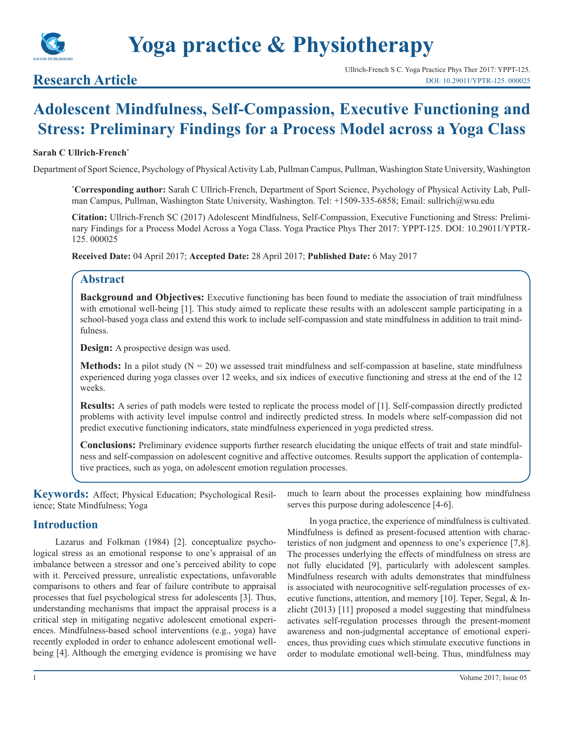

# **Research Article**

# **Adolescent Mindfulness, Self-Compassion, Executive Functioning and Stress: Preliminary Findings for a Process Model across a Yoga Class**

#### **Sarah C Ullrich-French\***

Department of Sport Science, Psychology of Physical Activity Lab, Pullman Campus, Pullman, Washington State University, Washington

**\* Corresponding author:** Sarah C Ullrich-French, Department of Sport Science, Psychology of Physical Activity Lab, Pullman Campus, Pullman, Washington State University, Washington. Tel: +1509-335-6858; Email: sullrich@wsu.edu

**Citation:** Ullrich-French SC (2017) Adolescent Mindfulness, Self-Compassion, Executive Functioning and Stress: Preliminary Findings for a Process Model Across a Yoga Class. Yoga Practice Phys Ther 2017: YPPT-125. DOI: 10.29011/YPTR-125. 000025

**Received Date:** 04 April 2017; **Accepted Date:** 28 April 2017; **Published Date:** 6 May 2017

## **Abstract**

**Background and Objectives:** Executive functioning has been found to mediate the association of trait mindfulness with emotional well-being [1]. This study aimed to replicate these results with an adolescent sample participating in a school-based yoga class and extend this work to include self-compassion and state mindfulness in addition to trait mindfulness.

**Design:** A prospective design was used.

**Methods:** In a pilot study  $(N = 20)$  we assessed trait mindfulness and self-compassion at baseline, state mindfulness experienced during yoga classes over 12 weeks, and six indices of executive functioning and stress at the end of the 12 weeks.

**Results:** A series of path models were tested to replicate the process model of [1]. Self-compassion directly predicted problems with activity level impulse control and indirectly predicted stress. In models where self-compassion did not predict executive functioning indicators, state mindfulness experienced in yoga predicted stress.

**Conclusions:** Preliminary evidence supports further research elucidating the unique effects of trait and state mindfulness and self-compassion on adolescent cognitive and affective outcomes. Results support the application of contemplative practices, such as yoga, on adolescent emotion regulation processes.

**Keywords:** Affect; Physical Education; Psychological Resilience; State Mindfulness; Yoga

## **Introduction**

Lazarus and Folkman (1984) [2]. conceptualize psychological stress as an emotional response to one's appraisal of an imbalance between a stressor and one's perceived ability to cope with it. Perceived pressure, unrealistic expectations, unfavorable comparisons to others and fear of failure contribute to appraisal processes that fuel psychological stress for adolescents [3]. Thus, understanding mechanisms that impact the appraisal process is a critical step in mitigating negative adolescent emotional experiences. Mindfulness-based school interventions (e.g., yoga) have recently exploded in order to enhance adolescent emotional wellbeing [4]. Although the emerging evidence is promising we have much to learn about the processes explaining how mindfulness serves this purpose during adolescence [4-6].

In yoga practice, the experience of mindfulness is cultivated. Mindfulness is defined as present-focused attention with characteristics of non judgment and openness to one's experience [7,8]. The processes underlying the effects of mindfulness on stress are not fully elucidated [9], particularly with adolescent samples. Mindfulness research with adults demonstrates that mindfulness is associated with neurocognitive self-regulation processes of executive functions, attention, and memory [10]. Teper, Segal, & Inzlicht (2013) [11] proposed a model suggesting that mindfulness activates self-regulation processes through the present-moment awareness and non-judgmental acceptance of emotional experiences, thus providing cues which stimulate executive functions in order to modulate emotional well-being. Thus, mindfulness may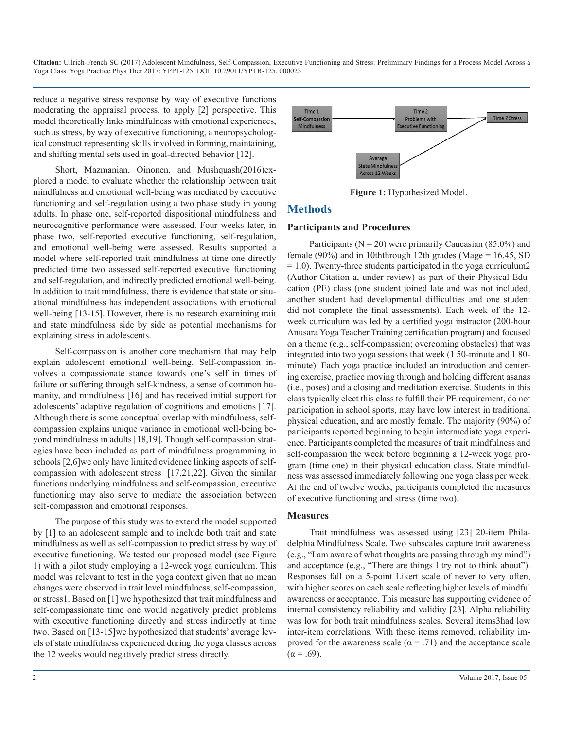reduce a negative stress response by way of executive functions moderating the appraisal process, to apply [2] perspective. This model theoretically links mindfulness with emotional experiences, such as stress, by way of executive functioning, a neuropsychological construct representing skills involved in forming, maintaining, and shifting mental sets used in goal-directed behavior [12].

Short, Mazmanian, Oinonen, and Mushquash(2016)explored a model to evaluate whether the relationship between trait mindfulness and emotional well-being was mediated by executive functioning and self-regulation using a two phase study in young adults. In phase one, self-reported dispositional mindfulness and neurocognitive performance were assessed. Four weeks later, in phase two, self-reported executive functioning, self-regulation, and emotional well-being were assessed. Results supported a model where self-reported trait mindfulness at time one directly predicted time two assessed self-reported executive functioning and self-regulation, and indirectly predicted emotional well-being. In addition to trait mindfulness, there is evidence that state or situational mindfulness has independent associations with emotional well-being [13-15]. However, there is no research examining trait and state mindfulness side by side as potential mechanisms for explaining stress in adolescents.

Self-compassion is another core mechanism that may help explain adolescent emotional well-being. Self-compassion involves a compassionate stance towards one's self in times of failure or suffering through self-kindness, a sense of common humanity, and mindfulness [16] and has received initial support for adolescents' adaptive regulation of cognitions and emotions [17]. Although there is some conceptual overlap with mindfulness, selfcompassion explains unique variance in emotional well-being beyond mindfulness in adults [18,19]. Though self-compassion strategies have been included as part of mindfulness programming in schools [2,6]we only have limited evidence linking aspects of selfcompassion with adolescent stress [17,21,22]. Given the similar functions underlying mindfulness and self-compassion, executive functioning may also serve to mediate the association between self-compassion and emotional responses.

The purpose of this study was to extend the model supported by [1] to an adolescent sample and to include both trait and state mindfulness as well as self-compassion to predict stress by way of executive functioning. We tested our proposed model (see Figure 1) with a pilot study employing a 12-week yoga curriculum. This model was relevant to test in the yoga context given that no mean changes were observed in trait level mindfulness, self-compassion, or stress1. Based on [1] we hypothesized that trait mindfulness and self-compassionate time one would negatively predict problems with executive functioning directly and stress indirectly at time two. Based on [13-15]we hypothesized that students' average levels of state mindfulness experienced during the yoga classes across the 12 weeks would negatively predict stress directly.



**Figure 1:** Hypothesized Model.

# **Methods**

#### **Participants and Procedures**

Participants ( $N = 20$ ) were primarily Caucasian (85.0%) and female (90%) and in 10ththrough 12th grades (Mage =  $16.45$ , SD  $= 1.0$ ). Twenty-three students participated in the yoga curriculum2 (Author Citation a, under review) as part of their Physical Education (PE) class (one student joined late and was not included; another student had developmental difficulties and one student did not complete the final assessments). Each week of the 12 week curriculum was led by a certified yoga instructor (200-hour Anusara Yoga Teacher Training certification program) and focused on a theme (e.g., self-compassion; overcoming obstacles) that was integrated into two yoga sessions that week (1 50-minute and 1 80 minute). Each yoga practice included an introduction and centering exercise, practice moving through and holding different asanas (i.e., poses) and a closing and meditation exercise. Students in this class typically elect this class to fulfill their PE requirement, do not participation in school sports, may have low interest in traditional physical education, and are mostly female. The majority (90%) of participants reported beginning to begin intermediate yoga experience. Participants completed the measures of trait mindfulness and self-compassion the week before beginning a 12-week yoga program (time one) in their physical education class. State mindfulness was assessed immediately following one yoga class per week. At the end of twelve weeks, participants completed the measures of executive functioning and stress (time two).

#### **Measures**

Trait mindfulness was assessed using [23] 20-item Philadelphia Mindfulness Scale. Two subscales capture trait awareness (e.g., "I am aware of what thoughts are passing through my mind") and acceptance (e.g., "There are things I try not to think about"). Responses fall on a 5-point Likert scale of never to very often, with higher scores on each scale reflecting higher levels of mindful awareness or acceptance. This measure has supporting evidence of internal consistency reliability and validity [23]. Alpha reliability was low for both trait mindfulness scales. Several items3had low inter-item correlations. With these items removed, reliability improved for the awareness scale ( $\alpha$  = .71) and the acceptance scale  $(α = .69)$ .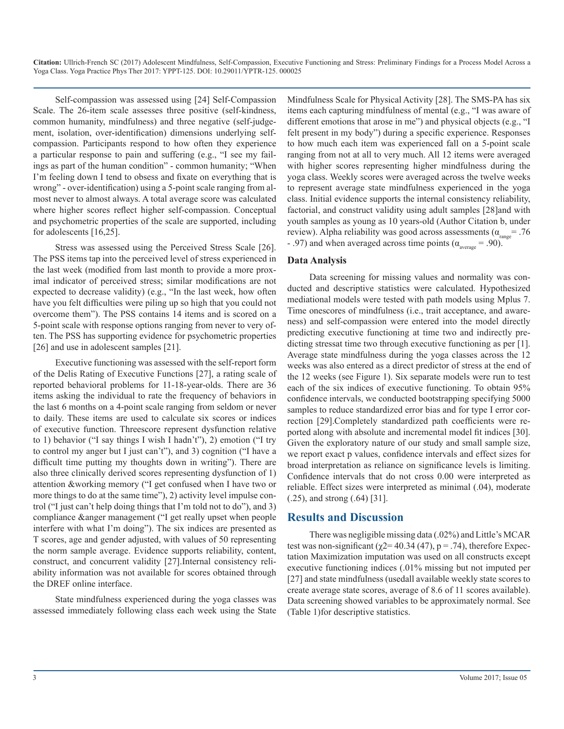Self-compassion was assessed using [24] Self-Compassion Scale. The 26-item scale assesses three positive (self-kindness, common humanity, mindfulness) and three negative (self-judgement, isolation, over-identification) dimensions underlying selfcompassion. Participants respond to how often they experience a particular response to pain and suffering (e.g., "I see my failings as part of the human condition" - common humanity; "When I'm feeling down I tend to obsess and fixate on everything that is wrong" - over-identification) using a 5-point scale ranging from almost never to almost always. A total average score was calculated where higher scores reflect higher self-compassion. Conceptual and psychometric properties of the scale are supported, including for adolescents [16,25].

Stress was assessed using the Perceived Stress Scale [26]. The PSS items tap into the perceived level of stress experienced in the last week (modified from last month to provide a more proximal indicator of perceived stress; similar modifications are not expected to decrease validity) (e.g., "In the last week, how often have you felt difficulties were piling up so high that you could not overcome them"). The PSS contains 14 items and is scored on a 5-point scale with response options ranging from never to very often. The PSS has supporting evidence for psychometric properties [26] and use in adolescent samples [21].

Executive functioning was assessed with the self-report form of the Delis Rating of Executive Functions [27], a rating scale of reported behavioral problems for 11-18-year-olds. There are 36 items asking the individual to rate the frequency of behaviors in the last 6 months on a 4-point scale ranging from seldom or never to daily. These items are used to calculate six scores or indices of executive function. Threescore represent dysfunction relative to 1) behavior ("I say things I wish I hadn't"), 2) emotion ("I try to control my anger but I just can't"), and 3) cognition ("I have a difficult time putting my thoughts down in writing"). There are also three clinically derived scores representing dysfunction of 1) attention &working memory ("I get confused when I have two or more things to do at the same time"), 2) activity level impulse control ("I just can't help doing things that I'm told not to do"), and 3) compliance &anger management ("I get really upset when people interfere with what I'm doing"). The six indices are presented as T scores, age and gender adjusted, with values of 50 representing the norm sample average. Evidence supports reliability, content, construct, and concurrent validity [27].Internal consistency reliability information was not available for scores obtained through the DREF online interface.

State mindfulness experienced during the yoga classes was assessed immediately following class each week using the State

Mindfulness Scale for Physical Activity [28]. The SMS-PA has six items each capturing mindfulness of mental (e.g., "I was aware of different emotions that arose in me") and physical objects (e.g., "I felt present in my body") during a specific experience. Responses to how much each item was experienced fall on a 5-point scale ranging from not at all to very much. All 12 items were averaged with higher scores representing higher mindfulness during the yoga class. Weekly scores were averaged across the twelve weeks to represent average state mindfulness experienced in the yoga class. Initial evidence supports the internal consistency reliability, factorial, and construct validity using adult samples [28]and with youth samples as young as 10 years-old (Author Citation b, under review). Alpha reliability was good across assessments ( $\alpha_{\text{range}}$ = .76 - .97) and when averaged across time points ( $\alpha_{\text{average}} = .90$ ).

#### **Data Analysis**

Data screening for missing values and normality was conducted and descriptive statistics were calculated. Hypothesized mediational models were tested with path models using Mplus 7. Time onescores of mindfulness (i.e., trait acceptance, and awareness) and self-compassion were entered into the model directly predicting executive functioning at time two and indirectly predicting stressat time two through executive functioning as per [1]. Average state mindfulness during the yoga classes across the 12 weeks was also entered as a direct predictor of stress at the end of the 12 weeks (see Figure 1). Six separate models were run to test each of the six indices of executive functioning. To obtain 95% confidence intervals, we conducted bootstrapping specifying 5000 samples to reduce standardized error bias and for type I error correction [29].Completely standardized path coefficients were reported along with absolute and incremental model fit indices [30]. Given the exploratory nature of our study and small sample size, we report exact p values, confidence intervals and effect sizes for broad interpretation as reliance on significance levels is limiting. Confidence intervals that do not cross 0.00 were interpreted as reliable. Effect sizes were interpreted as minimal (.04), moderate (.25), and strong (.64) [31].

#### **Results and Discussion**

There was negligible missing data (.02%) and Little's MCAR test was non-significant ( $\chi$ 2= 40.34 (47), p = .74), therefore Expectation Maximization imputation was used on all constructs except executive functioning indices (.01% missing but not imputed per [27] and state mindfulness (usedall available weekly state scores to create average state scores, average of 8.6 of 11 scores available). Data screening showed variables to be approximately normal. See (Table 1)for descriptive statistics.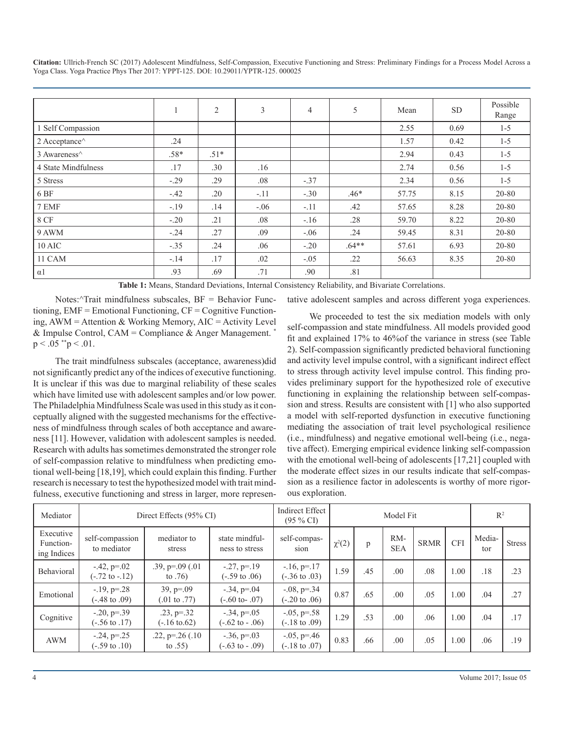|                                            |        | $\overline{2}$ | 3      | $\overline{4}$ | 5       | Mean  | <b>SD</b> | Possible<br>Range |
|--------------------------------------------|--------|----------------|--------|----------------|---------|-------|-----------|-------------------|
| 1 Self Compassion                          |        |                |        |                |         | 2.55  | 0.69      | $1 - 5$           |
| 2 Acceptance <sup><math>\land</math></sup> | .24    |                |        |                |         | 1.57  | 0.42      | $1-5$             |
| 3 Awareness <sup>^</sup>                   | .58*   | $.51*$         |        |                |         | 2.94  | 0.43      | $1 - 5$           |
| 4 State Mindfulness                        | .17    | .30            | .16    |                |         | 2.74  | 0.56      | $1 - 5$           |
| 5 Stress                                   | $-.29$ | .29            | .08    | $-.37$         |         | 2.34  | 0.56      | $1 - 5$           |
| 6 BF                                       | $-.42$ | .20            | $-.11$ | $-.30$         | $.46*$  | 57.75 | 8.15      | 20-80             |
| 7 EMF                                      | $-.19$ | .14            | $-.06$ | $-.11$         | .42     | 57.65 | 8.28      | 20-80             |
| <b>8 CF</b>                                | $-.20$ | .21            | .08    | $-.16$         | .28     | 59.70 | 8.22      | 20-80             |
| 9 AWM                                      | $-.24$ | .27            | .09    | $-.06$         | .24     | 59.45 | 8.31      | 20-80             |
| $10$ AIC                                   | $-.35$ | .24            | .06    | $-.20$         | $.64**$ | 57.61 | 6.93      | 20-80             |
| 11 CAM                                     | $-.14$ | .17            | .02    | $-.05$         | .22     | 56.63 | 8.35      | 20-80             |
| $\alpha$ 1                                 | .93    | .69            | .71    | .90            | .81     |       |           |                   |

**Table 1:** Means, Standard Deviations, Internal Consistency Reliability, and Bivariate Correlations.

Notes:^Trait mindfulness subscales, BF = Behavior Functioning, EMF = Emotional Functioning, CF = Cognitive Functioning, AWM = Attention & Working Memory, AIC = Activity Level & Impulse Control, CAM = Compliance & Anger Management. \*  $p < .05$  \*\*p  $< .01$ .

The trait mindfulness subscales (acceptance, awareness)did not significantly predict any of the indices of executive functioning. It is unclear if this was due to marginal reliability of these scales which have limited use with adolescent samples and/or low power. The Philadelphia Mindfulness Scale was used in this study as it conceptually aligned with the suggested mechanisms for the effectiveness of mindfulness through scales of both acceptance and awareness [11]. However, validation with adolescent samples is needed. Research with adults has sometimes demonstrated the stronger role of self-compassion relative to mindfulness when predicting emotional well-being [18,19], which could explain this finding. Further research is necessary to test the hypothesized model with trait mindfulness, executive functioning and stress in larger, more representative adolescent samples and across different yoga experiences.

We proceeded to test the six mediation models with only self-compassion and state mindfulness. All models provided good fit and explained 17% to 46%of the variance in stress (see Table 2). Self-compassion significantly predicted behavioral functioning and activity level impulse control, with a significant indirect effect to stress through activity level impulse control. This finding provides preliminary support for the hypothesized role of executive functioning in explaining the relationship between self-compassion and stress. Results are consistent with [1] who also supported a model with self-reported dysfunction in executive functioning mediating the association of trait level psychological resilience (i.e., mindfulness) and negative emotional well-being (i.e., negative affect). Emerging empirical evidence linking self-compassion with the emotional well-being of adolescents [17,21] coupled with the moderate effect sizes in our results indicate that self-compassion as a resilience factor in adolescents is worthy of more rigorous exploration.

| Mediator                              | Direct Effects (95% CI)                          |                                           |                                                  | <b>Indirect Effect</b><br>$(95\% \text{ CI})$    | Model Fit   |     |                   |             |            | $\mathbb{R}^2$ |               |
|---------------------------------------|--------------------------------------------------|-------------------------------------------|--------------------------------------------------|--------------------------------------------------|-------------|-----|-------------------|-------------|------------|----------------|---------------|
| Executive<br>Function-<br>ing Indices | self-compassion<br>to mediator                   | mediator to<br>stress                     | state mindful-<br>ness to stress                 | self-compas-<br>sion                             | $\chi^2(2)$ | p   | RM-<br><b>SEA</b> | <b>SRMR</b> | <b>CFI</b> | Media-<br>tor  | <b>Stress</b> |
| Behavioral                            | $-42$ , $p=02$<br>$(-.72 \text{ to } -.12)$      | $.39, p = .09$ $(.01)$<br>to $.76)$       | $-27, p=19$<br>$(-.59 \text{ to } .06)$          | $-16$ , $p=17$<br>$(-.36 \text{ to } .03)$       | 1.59        | .45 | .00               | .08         | 1.00       | .18            | .23           |
| Emotional                             | $-19$ , $p=.28$<br>$(-.48 \text{ to } .09)$      | $39, p = 0.09$<br>$(.01 \text{ to } .77)$ | $-0.34$ , $p=0.04$<br>$(-.60 \text{ to} - .07)$  | $-0.08$ , $p = 0.34$<br>$(-.20 \text{ to } .06)$ | 0.87        | .65 | .00               | .05         | 1.00       | .04            | .27           |
| Cognitive                             | $-0.20, p = 0.39$<br>$(-.56 \text{ to } .17)$    | $.23, p=.32$<br>$(-.16 \text{ to } 0.62)$ | $-0.34$ , $p=0.05$<br>$(-.62 \text{ to } -0.06)$ | $-0.05$ , p=.58<br>$(-.18 \text{ to } .09)$      | 1.29        | .53 | .00               | .06         | 1.00       | .04            | .17           |
| AWM                                   | $-0.24$ , $p = 0.25$<br>$(-.59 \text{ to } .10)$ | $.22, p=.26(.10)$<br>to $.55)$            | $-0.36$ , $p=0.03$<br>$(-.63 \text{ to } -0.09)$ | $-0.05$ , p=.46<br>$(-.18 \text{ to } .07)$      | 0.83        | .66 | .00               | .05         | 1.00       | .06            | .19           |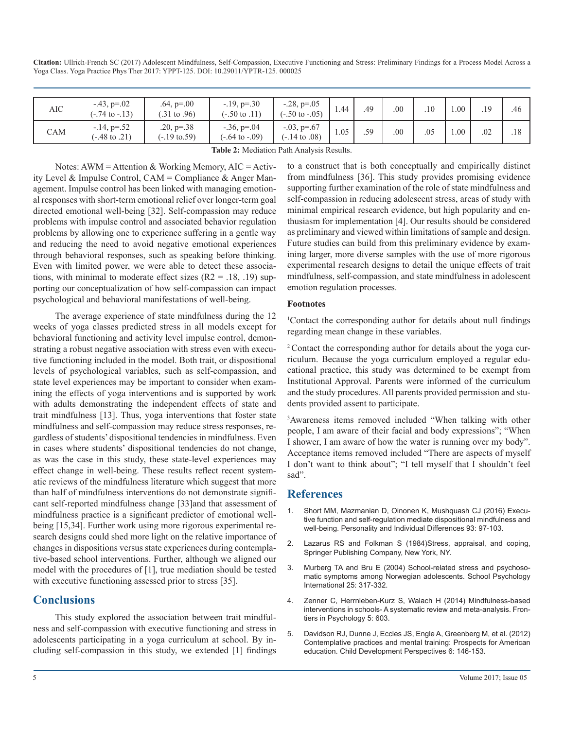| AIC | $-43, p = 02$<br>$(-.74 \text{ to } -0.13)$ | $.64, p = .00$<br>$(.31 \text{ to } .96)$ | $-19$ , p= $-30$<br>$(-.50 \text{ to } .11)$ | $-0.28$ , $p=0.05$<br>$(-.50 \text{ to } -0.05)$ | 1.44 | .49 | .00 | .10 | .00 | .19 | .46 |
|-----|---------------------------------------------|-------------------------------------------|----------------------------------------------|--------------------------------------------------|------|-----|-----|-----|-----|-----|-----|
| CAM | $-14, p = 52$<br>$(-.48 \text{ to } .21)$   | $.20, p=.38$<br>$(-.19 \text{ to } .59)$  | $-0.36$ , p=.04<br>$(-.64 \text{ to } -.09)$ | $-0.03$ , p=.67<br>$(-.14 \text{ to } .08)$      | 1.05 | .59 | .00 | .05 | .00 | .02 | .18 |

| Table 2: Mediation Path Analysis Results. |  |
|-------------------------------------------|--|
|-------------------------------------------|--|

Notes: AWM = Attention & Working Memory,  $AIC =$  Activity Level & Impulse Control, CAM = Compliance & Anger Management. Impulse control has been linked with managing emotional responses with short-term emotional relief over longer-term goal directed emotional well-being [32]. Self-compassion may reduce problems with impulse control and associated behavior regulation problems by allowing one to experience suffering in a gentle way and reducing the need to avoid negative emotional experiences through behavioral responses, such as speaking before thinking. Even with limited power, we were able to detect these associations, with minimal to moderate effect sizes  $(R2 = .18, .19)$  supporting our conceptualization of how self-compassion can impact psychological and behavioral manifestations of well-being.

The average experience of state mindfulness during the 12 weeks of yoga classes predicted stress in all models except for behavioral functioning and activity level impulse control, demonstrating a robust negative association with stress even with executive functioning included in the model. Both trait, or dispositional levels of psychological variables, such as self-compassion, and state level experiences may be important to consider when examining the effects of yoga interventions and is supported by work with adults demonstrating the independent effects of state and trait mindfulness [13]. Thus, yoga interventions that foster state mindfulness and self-compassion may reduce stress responses, regardless of students' dispositional tendencies in mindfulness. Even in cases where students' dispositional tendencies do not change, as was the case in this study, these state-level experiences may effect change in well-being. These results reflect recent systematic reviews of the mindfulness literature which suggest that more than half of mindfulness interventions do not demonstrate significant self-reported mindfulness change [33]and that assessment of mindfulness practice is a significant predictor of emotional wellbeing [15,34]. Further work using more rigorous experimental research designs could shed more light on the relative importance of changes in dispositions versus state experiences during contemplative-based school interventions. Further, although we aligned our model with the procedures of [1], true mediation should be tested with executive functioning assessed prior to stress [35].

#### **Conclusions**

This study explored the association between trait mindfulness and self-compassion with executive functioning and stress in adolescents participating in a yoga curriculum at school. By including self-compassion in this study, we extended [1] findings to a construct that is both conceptually and empirically distinct from mindfulness [36]. This study provides promising evidence supporting further examination of the role of state mindfulness and self-compassion in reducing adolescent stress, areas of study with minimal empirical research evidence, but high popularity and enthusiasm for implementation [4]. Our results should be considered as preliminary and viewed within limitations of sample and design. Future studies can build from this preliminary evidence by examining larger, more diverse samples with the use of more rigorous experimental research designs to detail the unique effects of trait mindfulness, self-compassion, and state mindfulness in adolescent emotion regulation processes.

#### **Footnotes**

1 Contact the corresponding author for details about null findings regarding mean change in these variables.

2 Contact the corresponding author for details about the yoga curriculum. Because the yoga curriculum employed a regular educational practice, this study was determined to be exempt from Institutional Approval. Parents were informed of the curriculum and the study procedures. All parents provided permission and students provided assent to participate.

3 Awareness items removed included "When talking with other people, I am aware of their facial and body expressions"; "When I shower, I am aware of how the water is running over my body". Acceptance items removed included "There are aspects of myself I don't want to think about"; "I tell myself that I shouldn't feel sad".

#### **References**

- 1. [Short MM, Mazmanian D, Oinonen K, Mushquash CJ \(2016\) Execu](https://www.researchgate.net/profile/Dwight_Mazmanian/publication/283202822_Executive_function_and_self-regulation_mediate_dispositional_mindfulness_and_well-being/links/571f7c8c08aeaced788abbc6.pdf?origin=publication_detail)[tive function and self-regulation mediate dispositional mindfulness and](https://www.researchgate.net/profile/Dwight_Mazmanian/publication/283202822_Executive_function_and_self-regulation_mediate_dispositional_mindfulness_and_well-being/links/571f7c8c08aeaced788abbc6.pdf?origin=publication_detail)  [well-being. Personality and Individual Differences 93: 97-103.](https://www.researchgate.net/profile/Dwight_Mazmanian/publication/283202822_Executive_function_and_self-regulation_mediate_dispositional_mindfulness_and_well-being/links/571f7c8c08aeaced788abbc6.pdf?origin=publication_detail)
- 2. Lazarus RS and Folkman S (1984)Stress, appraisal, and coping, Springer Publishing Company, New York, NY.
- 3. [Murberg TA and Bru E \(2004\) School-related stress and psychoso](http://journals.sagepub.com/doi/abs/10.1177/0143034304046904)[matic symptoms among Norwegian adolescents. School Psychology](http://journals.sagepub.com/doi/abs/10.1177/0143034304046904) [International 25: 317-332.](http://journals.sagepub.com/doi/abs/10.1177/0143034304046904)
- 4. [Zenner C, Herrnleben-Kurz S, Walach H \(2014\) Mindfulness-based](https://www.ncbi.nlm.nih.gov/pmc/articles/PMC4075476/)  [interventions in schools- A systematic review and meta-analysis. Fron](https://www.ncbi.nlm.nih.gov/pmc/articles/PMC4075476/)[tiers in Psychology 5: 603.](https://www.ncbi.nlm.nih.gov/pmc/articles/PMC4075476/)
- 5. [Davidson RJ, Dunne J, Eccles JS, Engle A, Greenberg M, et al. \(2012\)](https://www.ncbi.nlm.nih.gov/pmc/articles/PMC3420012/)  [Contemplative practices and mental training: Prospects for American](https://www.ncbi.nlm.nih.gov/pmc/articles/PMC3420012/)  [education. Child Development Perspectives 6: 146-153.](https://www.ncbi.nlm.nih.gov/pmc/articles/PMC3420012/)